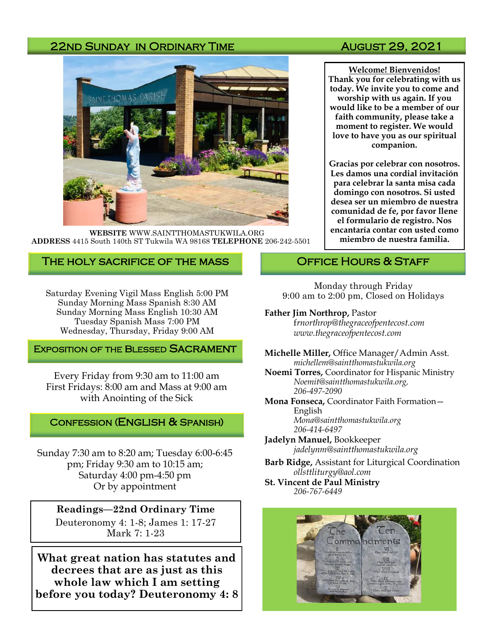### 22ND SUNDAY IN ORDINARY TIME AUGUST 29, 2021



**WEBSITE** WWW.SAINTTHOMASTUKWILA.ORG **ADDRESS** 4415 South 140th ST Tukwila WA 98168 **TELEPHONE** 206-242-5501

#### The holy sacrifice of the mass

Saturday Evening Vigil Mass English 5:00 PM Sunday Morning Mass Spanish 8:30 AM Sunday Morning Mass English 10:30 AM Tuesday Spanish Mass 7:00 PM Wednesday, Thursday, Friday 9:00 AM

#### **EXPOSITION OF THE BLESSED SACRAMENT**

Every Friday from 9:30 am to 11:00 am First Fridays: 8:00 am and Mass at 9:00 am with Anointing of the Sick

#### Confession (English & Spanish)

Sunday 7:30 am to 8:20 am; Tuesday 6:00-6:45 pm; Friday 9:30 am to 10:15 am; Saturday 4:00 pm-4:50 pm Or by appointment

#### **Readings—22nd Ordinary Time**

Deuteronomy 4: 1-8; James 1: 17-27 Mark 7: 1-23

**What great nation has statutes and decrees that are as just as this whole law which I am setting before you today? Deuteronomy 4: 8**

**Welcome! Bienvenidos! Thank you for celebrating with us today. We invite you to come and worship with us again. If you would like to be a member of our faith community, please take a moment to register. We would love to have you as our spiritual companion.** 

**Gracias por celebrar con nosotros. Les damos una cordial invitación para celebrar la santa misa cada domingo con nosotros. Si usted desea ser un miembro de nuestra comunidad de fe, por favor llene el formulario de registro. Nos encantaría contar con usted como miembro de nuestra familia.**

#### OFFICE HOURS & STAFF

Monday through Friday 9:00 am to 2:00 pm, Closed on Holidays

#### **Father Jim Northrop,** Pastor

f*rnorthrop@thegraceofpentecost.com www.thegraceofpentecost.com* 

**Michelle Miller,** Office Manager/Admin Asst. *michellem@saintthomastukwila.org*

**Noemi Torres,** Coordinator for Hispanic Ministry *Noemit@saintthomastukwila.org, 206-497-2090*

**Mona Fonseca,** Coordinator Faith Formation— English *Mona@saintthomastukwila.org*

*206-414-6497* **Jadelyn Manuel,** Bookkeeper

*jadelynm@saintthomastukwila.org*

**Barb Ridge,** Assistant for Liturgical Coordination *ollsttliturgy@aol.com*

**St. Vincent de Paul Ministry** *206-767-6449*

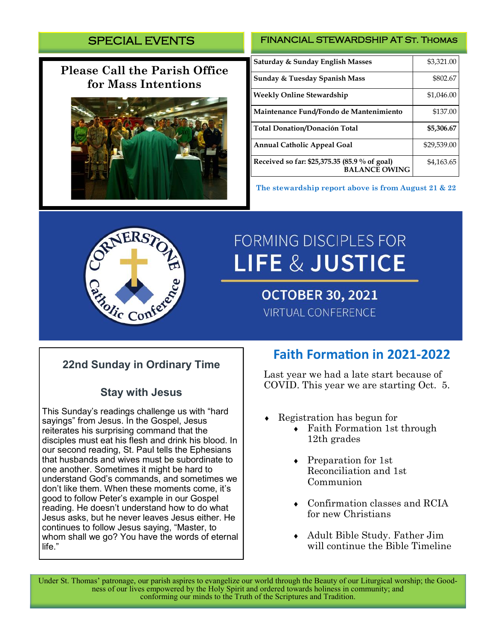# SPECIAL EVENTS

# **Please Call the Parish Office for Mass Intentions**



#### FINANCIAL STEWARDSHIP AT St. Thomas

| Saturday & Sunday English Masses                                      | \$3,321.00  |
|-----------------------------------------------------------------------|-------------|
| Sunday & Tuesday Spanish Mass                                         | \$802.67    |
| <b>Weekly Online Stewardship</b>                                      | \$1,046.00  |
| Maintenance Fund/Fondo de Mantenimiento                               | \$137.00    |
| <b>Total Donation/Donación Total</b>                                  | \$5,306.67  |
| <b>Annual Catholic Appeal Goal</b>                                    | \$29,539.00 |
| Received so far: \$25,375.35 (85.9 % of goal)<br><b>BALANCE OWING</b> | \$4,163.65  |

**The stewardship report above is from August 21 & 22**



# **FORMING DISCIPLES FOR LIFE & JUSTICE**

**OCTOBER 30, 2021 VIRTUAL CONFERENCE** 

# **22nd Sunday in Ordinary Time**

## **Stay with Jesus**

This Sunday's readings challenge us with "hard sayings" from Jesus. In the Gospel, Jesus reiterates his surprising command that the disciples must eat his flesh and drink his blood. In our second reading, St. Paul tells the Ephesians that husbands and wives must be subordinate to one another. Sometimes it might be hard to understand God's commands, and sometimes we don't like them. When these moments come, it's good to follow Peter's example in our Gospel reading. He doesn't understand how to do what Jesus asks, but he never leaves Jesus either. He continues to follow Jesus saying, "Master, to whom shall we go? You have the words of eternal life."

# **Faith Formation in 2021-2022**

Last year we had a late start because of COVID. This year we are starting Oct. 5.

- Registration has begun for
	- Faith Formation 1st through 12th grades
	- Preparation for 1st Reconciliation and 1st Communion
	- Confirmation classes and RCIA for new Christians
	- Adult Bible Study. Father Jim will continue the Bible Timeline

Under St. Thomas' patronage, our parish aspires to evangelize our world through the Beauty of our Liturgical worship; the Goodness of our lives empowered by the Holy Spirit and ordered towards holiness in community; and conforming our minds to the Truth of the Scriptures and Tradition.